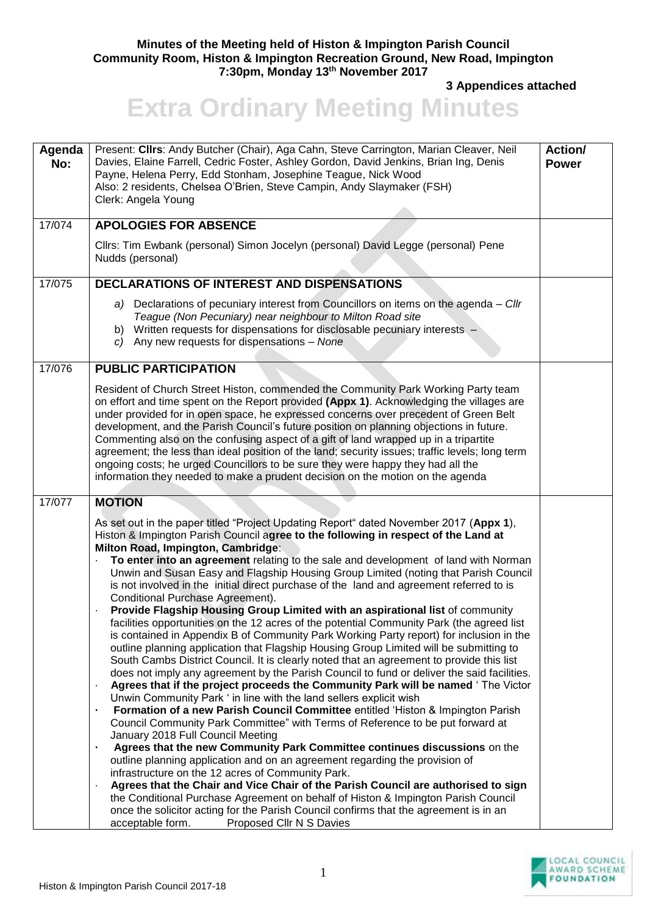## **Minutes of the Meeting held of Histon & Impington Parish Council Community Room, Histon & Impington Recreation Ground, New Road, Impington 7:30pm, Monday 13th November 2017**

**3 Appendices attached** 

## **Extra Ordinary Meeting Minutes**

| Agenda<br>No: | Present: Cllrs: Andy Butcher (Chair), Aga Cahn, Steve Carrington, Marian Cleaver, Neil<br>Davies, Elaine Farrell, Cedric Foster, Ashley Gordon, David Jenkins, Brian Ing, Denis<br>Payne, Helena Perry, Edd Stonham, Josephine Teague, Nick Wood<br>Also: 2 residents, Chelsea O'Brien, Steve Campin, Andy Slaymaker (FSH)<br>Clerk: Angela Young                                                                                                                                                                                                                                                                                                                                                                                                                                                                                                                                                                                                                                                                                                                                                                                                                                                                                                                                                                                                                                                                                                                                                                                                                                                                                                                                                                                                                                                                                                                                                                                                                                                                           | <b>Action/</b><br><b>Power</b> |
|---------------|-----------------------------------------------------------------------------------------------------------------------------------------------------------------------------------------------------------------------------------------------------------------------------------------------------------------------------------------------------------------------------------------------------------------------------------------------------------------------------------------------------------------------------------------------------------------------------------------------------------------------------------------------------------------------------------------------------------------------------------------------------------------------------------------------------------------------------------------------------------------------------------------------------------------------------------------------------------------------------------------------------------------------------------------------------------------------------------------------------------------------------------------------------------------------------------------------------------------------------------------------------------------------------------------------------------------------------------------------------------------------------------------------------------------------------------------------------------------------------------------------------------------------------------------------------------------------------------------------------------------------------------------------------------------------------------------------------------------------------------------------------------------------------------------------------------------------------------------------------------------------------------------------------------------------------------------------------------------------------------------------------------------------------|--------------------------------|
| 17/074        | <b>APOLOGIES FOR ABSENCE</b>                                                                                                                                                                                                                                                                                                                                                                                                                                                                                                                                                                                                                                                                                                                                                                                                                                                                                                                                                                                                                                                                                                                                                                                                                                                                                                                                                                                                                                                                                                                                                                                                                                                                                                                                                                                                                                                                                                                                                                                                |                                |
|               | Cllrs: Tim Ewbank (personal) Simon Jocelyn (personal) David Legge (personal) Pene<br>Nudds (personal)                                                                                                                                                                                                                                                                                                                                                                                                                                                                                                                                                                                                                                                                                                                                                                                                                                                                                                                                                                                                                                                                                                                                                                                                                                                                                                                                                                                                                                                                                                                                                                                                                                                                                                                                                                                                                                                                                                                       |                                |
| 17/075        | DECLARATIONS OF INTEREST AND DISPENSATIONS                                                                                                                                                                                                                                                                                                                                                                                                                                                                                                                                                                                                                                                                                                                                                                                                                                                                                                                                                                                                                                                                                                                                                                                                                                                                                                                                                                                                                                                                                                                                                                                                                                                                                                                                                                                                                                                                                                                                                                                  |                                |
|               | a) Declarations of pecuniary interest from Councillors on items on the agenda - Cllr<br>Teague (Non Pecuniary) near neighbour to Milton Road site<br>b) Written requests for dispensations for disclosable pecuniary interests -<br>c) Any new requests for dispensations $-$ None                                                                                                                                                                                                                                                                                                                                                                                                                                                                                                                                                                                                                                                                                                                                                                                                                                                                                                                                                                                                                                                                                                                                                                                                                                                                                                                                                                                                                                                                                                                                                                                                                                                                                                                                          |                                |
| 17/076        | <b>PUBLIC PARTICIPATION</b>                                                                                                                                                                                                                                                                                                                                                                                                                                                                                                                                                                                                                                                                                                                                                                                                                                                                                                                                                                                                                                                                                                                                                                                                                                                                                                                                                                                                                                                                                                                                                                                                                                                                                                                                                                                                                                                                                                                                                                                                 |                                |
|               | Resident of Church Street Histon, commended the Community Park Working Party team<br>on effort and time spent on the Report provided (Appx 1). Acknowledging the villages are<br>under provided for in open space, he expressed concerns over precedent of Green Belt<br>development, and the Parish Council's future position on planning objections in future.<br>Commenting also on the confusing aspect of a gift of land wrapped up in a tripartite<br>agreement; the less than ideal position of the land; security issues; traffic levels; long term<br>ongoing costs; he urged Councillors to be sure they were happy they had all the<br>information they needed to make a prudent decision on the motion on the agenda                                                                                                                                                                                                                                                                                                                                                                                                                                                                                                                                                                                                                                                                                                                                                                                                                                                                                                                                                                                                                                                                                                                                                                                                                                                                                            |                                |
| 17/077        | <b>MOTION</b>                                                                                                                                                                                                                                                                                                                                                                                                                                                                                                                                                                                                                                                                                                                                                                                                                                                                                                                                                                                                                                                                                                                                                                                                                                                                                                                                                                                                                                                                                                                                                                                                                                                                                                                                                                                                                                                                                                                                                                                                               |                                |
|               | As set out in the paper titled "Project Updating Report" dated November 2017 (Appx 1),<br>Histon & Impington Parish Council agree to the following in respect of the Land at<br>Milton Road, Impington, Cambridge:<br>To enter into an agreement relating to the sale and development of land with Norman<br>Unwin and Susan Easy and Flagship Housing Group Limited (noting that Parish Council<br>is not involved in the initial direct purchase of the land and agreement referred to is<br>Conditional Purchase Agreement).<br>Provide Flagship Housing Group Limited with an aspirational list of community<br>facilities opportunities on the 12 acres of the potential Community Park (the agreed list<br>is contained in Appendix B of Community Park Working Party report) for inclusion in the<br>outline planning application that Flagship Housing Group Limited will be submitting to<br>South Cambs District Council. It is clearly noted that an agreement to provide this list<br>does not imply any agreement by the Parish Council to fund or deliver the said facilities.<br>Agrees that if the project proceeds the Community Park will be named 'The Victor<br>Unwin Community Park ' in line with the land sellers explicit wish<br>Formation of a new Parish Council Committee entitled 'Histon & Impington Parish<br>٠<br>Council Community Park Committee" with Terms of Reference to be put forward at<br>January 2018 Full Council Meeting<br>Agrees that the new Community Park Committee continues discussions on the<br>$\blacksquare$<br>outline planning application and on an agreement regarding the provision of<br>infrastructure on the 12 acres of Community Park.<br>Agrees that the Chair and Vice Chair of the Parish Council are authorised to sign<br>the Conditional Purchase Agreement on behalf of Histon & Impington Parish Council<br>once the solicitor acting for the Parish Council confirms that the agreement is in an<br>Proposed Cllr N S Davies<br>acceptable form. |                                |

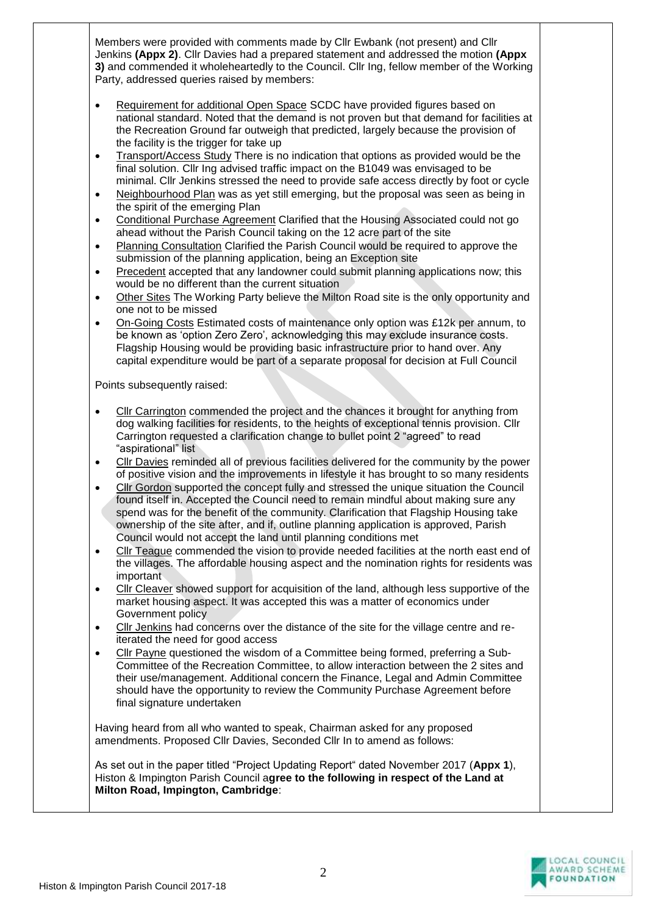Members were provided with comments made by Cllr Ewbank (not present) and Cllr Jenkins **(Appx 2)**. Cllr Davies had a prepared statement and addressed the motion **(Appx 3)** and commended it wholeheartedly to the Council. Cllr Ing, fellow member of the Working Party, addressed queries raised by members:

- Requirement for additional Open Space SCDC have provided figures based on national standard. Noted that the demand is not proven but that demand for facilities at the Recreation Ground far outweigh that predicted, largely because the provision of the facility is the trigger for take up
- Transport/Access Study There is no indication that options as provided would be the final solution. Cllr Ing advised traffic impact on the B1049 was envisaged to be minimal. Cllr Jenkins stressed the need to provide safe access directly by foot or cycle
- Neighbourhood Plan was as yet still emerging, but the proposal was seen as being in the spirit of the emerging Plan
- Conditional Purchase Agreement Clarified that the Housing Associated could not go ahead without the Parish Council taking on the 12 acre part of the site
- Planning Consultation Clarified the Parish Council would be required to approve the submission of the planning application, being an Exception site
- Precedent accepted that any landowner could submit planning applications now; this would be no different than the current situation
- Other Sites The Working Party believe the Milton Road site is the only opportunity and one not to be missed
- On-Going Costs Estimated costs of maintenance only option was £12k per annum, to be known as 'option Zero Zero', acknowledging this may exclude insurance costs. Flagship Housing would be providing basic infrastructure prior to hand over. Any capital expenditure would be part of a separate proposal for decision at Full Council

Points subsequently raised:

- Cllr Carrington commended the project and the chances it brought for anything from dog walking facilities for residents, to the heights of exceptional tennis provision. Cllr Carrington requested a clarification change to bullet point 2 "agreed" to read "aspirational" list
- Cllr Davies reminded all of previous facilities delivered for the community by the power of positive vision and the improvements in lifestyle it has brought to so many residents
- Cllr Gordon supported the concept fully and stressed the unique situation the Council found itself in. Accepted the Council need to remain mindful about making sure any spend was for the benefit of the community. Clarification that Flagship Housing take ownership of the site after, and if, outline planning application is approved, Parish Council would not accept the land until planning conditions met
- Cllr Teague commended the vision to provide needed facilities at the north east end of the villages. The affordable housing aspect and the nomination rights for residents was important
- Cllr Cleaver showed support for acquisition of the land, although less supportive of the market housing aspect. It was accepted this was a matter of economics under Government policy
- Cllr Jenkins had concerns over the distance of the site for the village centre and reiterated the need for good access
- Cllr Payne questioned the wisdom of a Committee being formed, preferring a Sub-Committee of the Recreation Committee, to allow interaction between the 2 sites and their use/management. Additional concern the Finance, Legal and Admin Committee should have the opportunity to review the Community Purchase Agreement before final signature undertaken

Having heard from all who wanted to speak, Chairman asked for any proposed amendments. Proposed Cllr Davies, Seconded Cllr In to amend as follows:

As set out in the paper titled "Project Updating Report" dated November 2017 (**Appx 1**), Histon & Impington Parish Council a**gree to the following in respect of the Land at Milton Road, Impington, Cambridge**: